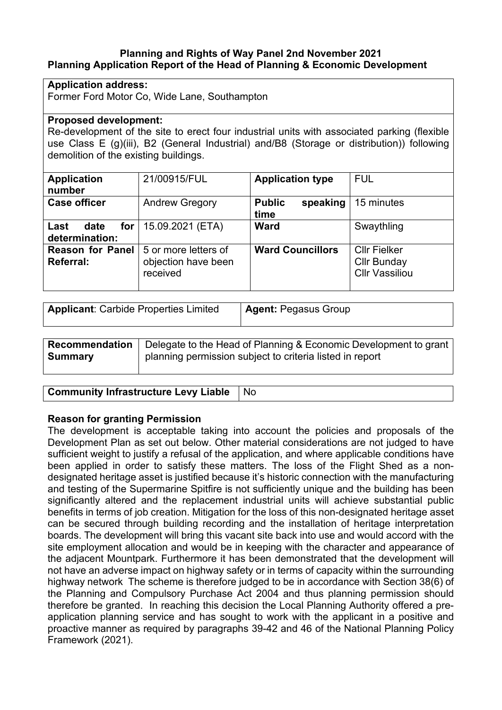## **Planning and Rights of Way Panel 2nd November 2021 Planning Application Report of the Head of Planning & Economic Development**

## **Application address:**

Former Ford Motor Co, Wide Lane, Southampton

## **Proposed development:**

Re-development of the site to erect four industrial units with associated parking (flexible use Class E (g)(iii), B2 (General Industrial) and/B8 (Storage or distribution)) following demolition of the existing buildings.

| <b>Application</b><br>number                  | 21/00915/FUL                                            | <b>Application type</b>           | <b>FUL</b>                                                         |
|-----------------------------------------------|---------------------------------------------------------|-----------------------------------|--------------------------------------------------------------------|
| <b>Case officer</b>                           | <b>Andrew Gregory</b>                                   | <b>Public</b><br>speaking<br>time | 15 minutes                                                         |
| for $\vert$<br>Last<br>date<br>determination: | 15.09.2021 (ETA)                                        | <b>Ward</b>                       | Swaythling                                                         |
| <b>Reason for Panel</b><br><b>Referral:</b>   | 5 or more letters of<br>objection have been<br>received | <b>Ward Councillors</b>           | <b>CIIr Fielker</b><br><b>Cllr Bunday</b><br><b>Cllr Vassiliou</b> |

| <b>Applicant: Carbide Properties Limited</b> | <b>Agent: Pegasus Group</b> |
|----------------------------------------------|-----------------------------|
|----------------------------------------------|-----------------------------|

|                | <b>Recommendation</b>   Delegate to the Head of Planning & Economic Development to grant |
|----------------|------------------------------------------------------------------------------------------|
| <b>Summary</b> | planning permission subject to criteria listed in report                                 |
|                |                                                                                          |

**Community Infrastructure Levy Liable** No

## **Reason for granting Permission**

The development is acceptable taking into account the policies and proposals of the Development Plan as set out below. Other material considerations are not judged to have sufficient weight to justify a refusal of the application, and where applicable conditions have been applied in order to satisfy these matters. The loss of the Flight Shed as a nondesignated heritage asset is justified because it's historic connection with the manufacturing and testing of the Supermarine Spitfire is not sufficiently unique and the building has been significantly altered and the replacement industrial units will achieve substantial public benefits in terms of job creation. Mitigation for the loss of this non-designated heritage asset can be secured through building recording and the installation of heritage interpretation boards. The development will bring this vacant site back into use and would accord with the site employment allocation and would be in keeping with the character and appearance of the adjacent Mountpark. Furthermore it has been demonstrated that the development will not have an adverse impact on highway safety or in terms of capacity within the surrounding highway network The scheme is therefore judged to be in accordance with Section 38(6) of the Planning and Compulsory Purchase Act 2004 and thus planning permission should therefore be granted. In reaching this decision the Local Planning Authority offered a preapplication planning service and has sought to work with the applicant in a positive and proactive manner as required by paragraphs 39-42 and 46 of the National Planning Policy Framework (2021).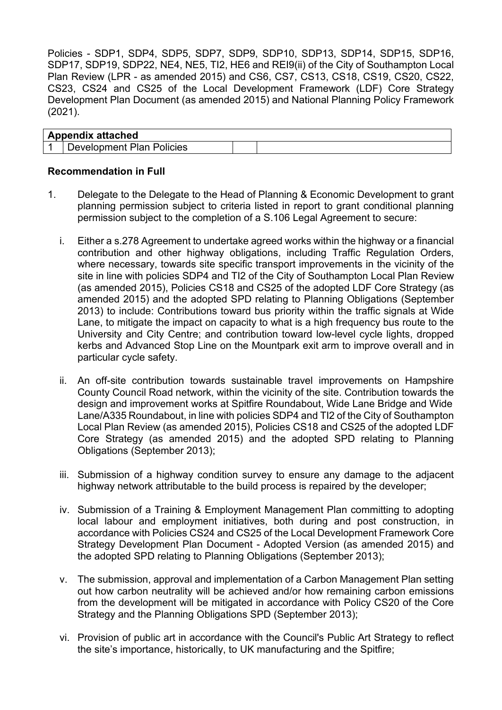Policies - SDP1, SDP4, SDP5, SDP7, SDP9, SDP10, SDP13, SDP14, SDP15, SDP16, SDP17, SDP19, SDP22, NE4, NE5, TI2, HE6 and REI9(ii) of the City of Southampton Local Plan Review (LPR - as amended 2015) and CS6, CS7, CS13, CS18, CS19, CS20, CS22, CS23, CS24 and CS25 of the Local Development Framework (LDF) Core Strategy Development Plan Document (as amended 2015) and National Planning Policy Framework (2021).

| <b>Appendix attached</b>                   |  |
|--------------------------------------------|--|
| <b>Plan Policies</b><br><b>Development</b> |  |

## **Recommendation in Full**

- 1. Delegate to the Delegate to the Head of Planning & Economic Development to grant planning permission subject to criteria listed in report to grant conditional planning permission subject to the completion of a S.106 Legal Agreement to secure:
	- i. Either a s.278 Agreement to undertake agreed works within the highway or a financial contribution and other highway obligations, including Traffic Regulation Orders, where necessary, towards site specific transport improvements in the vicinity of the site in line with policies SDP4 and TI2 of the City of Southampton Local Plan Review (as amended 2015), Policies CS18 and CS25 of the adopted LDF Core Strategy (as amended 2015) and the adopted SPD relating to Planning Obligations (September 2013) to include: Contributions toward bus priority within the traffic signals at Wide Lane, to mitigate the impact on capacity to what is a high frequency bus route to the University and City Centre; and contribution toward low-level cycle lights, dropped kerbs and Advanced Stop Line on the Mountpark exit arm to improve overall and in particular cycle safety.
	- ii. An off-site contribution towards sustainable travel improvements on Hampshire County Council Road network, within the vicinity of the site. Contribution towards the design and improvement works at Spitfire Roundabout, Wide Lane Bridge and Wide Lane/A335 Roundabout, in line with policies SDP4 and TI2 of the City of Southampton Local Plan Review (as amended 2015), Policies CS18 and CS25 of the adopted LDF Core Strategy (as amended 2015) and the adopted SPD relating to Planning Obligations (September 2013);
	- iii. Submission of a highway condition survey to ensure any damage to the adjacent highway network attributable to the build process is repaired by the developer;
	- iv. Submission of a Training & Employment Management Plan committing to adopting local labour and employment initiatives, both during and post construction, in accordance with Policies CS24 and CS25 of the Local Development Framework Core Strategy Development Plan Document - Adopted Version (as amended 2015) and the adopted SPD relating to Planning Obligations (September 2013);
	- v. The submission, approval and implementation of a Carbon Management Plan setting out how carbon neutrality will be achieved and/or how remaining carbon emissions from the development will be mitigated in accordance with Policy CS20 of the Core Strategy and the Planning Obligations SPD (September 2013);
	- vi. Provision of public art in accordance with the Council's Public Art Strategy to reflect the site's importance, historically, to UK manufacturing and the Spitfire;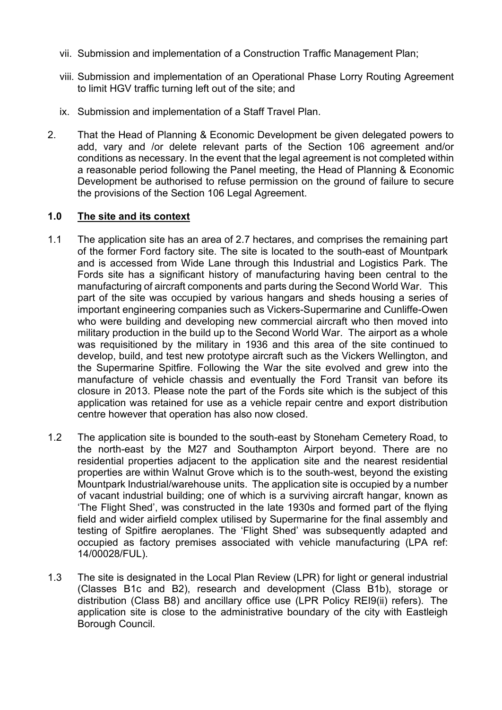- vii. Submission and implementation of a Construction Traffic Management Plan;
- viii. Submission and implementation of an Operational Phase Lorry Routing Agreement to limit HGV traffic turning left out of the site; and
- ix. Submission and implementation of a Staff Travel Plan.
- 2. That the Head of Planning & Economic Development be given delegated powers to add, vary and /or delete relevant parts of the Section 106 agreement and/or conditions as necessary. In the event that the legal agreement is not completed within a reasonable period following the Panel meeting, the Head of Planning & Economic Development be authorised to refuse permission on the ground of failure to secure the provisions of the Section 106 Legal Agreement.

# **1.0 The site and its context**

- 1.1 The application site has an area of 2.7 hectares, and comprises the remaining part of the former Ford factory site. The site is located to the south-east of Mountpark and is accessed from Wide Lane through this Industrial and Logistics Park. The Fords site has a significant history of manufacturing having been central to the manufacturing of aircraft components and parts during the Second World War. This part of the site was occupied by various hangars and sheds housing a series of important engineering companies such as Vickers-Supermarine and Cunliffe-Owen who were building and developing new commercial aircraft who then moved into military production in the build up to the Second World War. The airport as a whole was requisitioned by the military in 1936 and this area of the site continued to develop, build, and test new prototype aircraft such as the Vickers Wellington, and the Supermarine Spitfire. Following the War the site evolved and grew into the manufacture of vehicle chassis and eventually the Ford Transit van before its closure in 2013. Please note the part of the Fords site which is the subject of this application was retained for use as a vehicle repair centre and export distribution centre however that operation has also now closed.
- 1.2 The application site is bounded to the south-east by Stoneham Cemetery Road, to the north-east by the M27 and Southampton Airport beyond. There are no residential properties adjacent to the application site and the nearest residential properties are within Walnut Grove which is to the south-west, beyond the existing Mountpark Industrial/warehouse units. The application site is occupied by a number of vacant industrial building; one of which is a surviving aircraft hangar, known as 'The Flight Shed', was constructed in the late 1930s and formed part of the flying field and wider airfield complex utilised by Supermarine for the final assembly and testing of Spitfire aeroplanes. The 'Flight Shed' was subsequently adapted and occupied as factory premises associated with vehicle manufacturing (LPA ref: 14/00028/FUL).
- 1.3 The site is designated in the Local Plan Review (LPR) for light or general industrial (Classes B1c and B2), research and development (Class B1b), storage or distribution (Class B8) and ancillary office use (LPR Policy REI9(ii) refers). The application site is close to the administrative boundary of the city with Eastleigh Borough Council.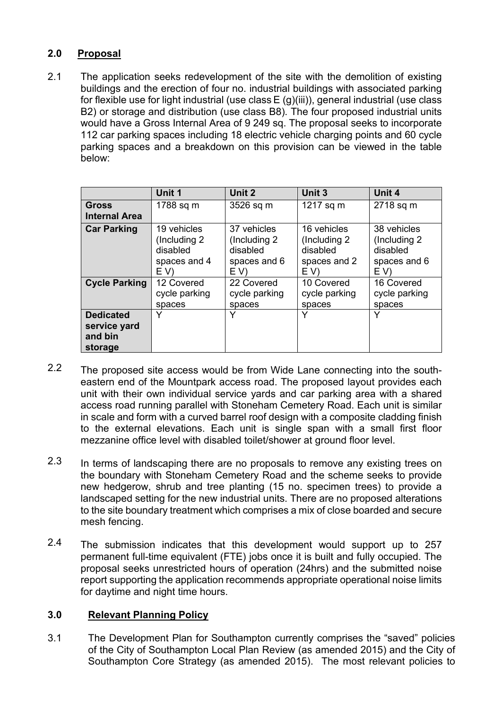# **2.0 Proposal**

2.1 The application seeks redevelopment of the site with the demolition of existing buildings and the erection of four no. industrial buildings with associated parking for flexible use for light industrial (use class  $E(g)(iii)$ ), general industrial (use class B2) or storage and distribution (use class B8). The four proposed industrial units would have a Gross Internal Area of 9 249 sq. The proposal seeks to incorporate 112 car parking spaces including 18 electric vehicle charging points and 60 cycle parking spaces and a breakdown on this provision can be viewed in the table below:

|                                                        | Unit 1                                                           | Unit 2                                                           | Unit 3                                                          | Unit 4                                                           |
|--------------------------------------------------------|------------------------------------------------------------------|------------------------------------------------------------------|-----------------------------------------------------------------|------------------------------------------------------------------|
| <b>Gross</b><br><b>Internal Area</b>                   | 1788 sq m                                                        | 3526 sq m                                                        | 1217 sq m                                                       | 2718 sq m                                                        |
| <b>Car Parking</b>                                     | 19 vehicles<br>(Including 2)<br>disabled<br>spaces and 4<br>E V) | 37 vehicles<br>(Including 2)<br>disabled<br>spaces and 6<br>E(V) | 16 vehicles<br>(Including 2)<br>disabled<br>spaces and 2<br>EV) | 38 vehicles<br>(Including 2)<br>disabled<br>spaces and 6<br>E V) |
| <b>Cycle Parking</b>                                   | 12 Covered<br>cycle parking<br>spaces                            | 22 Covered<br>cycle parking<br>spaces                            | 10 Covered<br>cycle parking<br>spaces                           | 16 Covered<br>cycle parking<br>spaces                            |
| <b>Dedicated</b><br>service yard<br>and bin<br>storage | Y                                                                | Y                                                                |                                                                 |                                                                  |

- 2.2 The proposed site access would be from Wide Lane connecting into the southeastern end of the Mountpark access road. The proposed layout provides each unit with their own individual service yards and car parking area with a shared access road running parallel with Stoneham Cemetery Road. Each unit is similar in scale and form with a curved barrel roof design with a composite cladding finish to the external elevations. Each unit is single span with a small first floor mezzanine office level with disabled toilet/shower at ground floor level.
- 2.3 In terms of landscaping there are no proposals to remove any existing trees on the boundary with Stoneham Cemetery Road and the scheme seeks to provide new hedgerow, shrub and tree planting (15 no. specimen trees) to provide a landscaped setting for the new industrial units. There are no proposed alterations to the site boundary treatment which comprises a mix of close boarded and secure mesh fencing.
- 2.4 The submission indicates that this development would support up to 257 permanent full-time equivalent (FTE) jobs once it is built and fully occupied. The proposal seeks unrestricted hours of operation (24hrs) and the submitted noise report supporting the application recommends appropriate operational noise limits for daytime and night time hours.

# **3.0 Relevant Planning Policy**

3.1 The Development Plan for Southampton currently comprises the "saved" policies of the City of Southampton Local Plan Review (as amended 2015) and the City of Southampton Core Strategy (as amended 2015). The most relevant policies to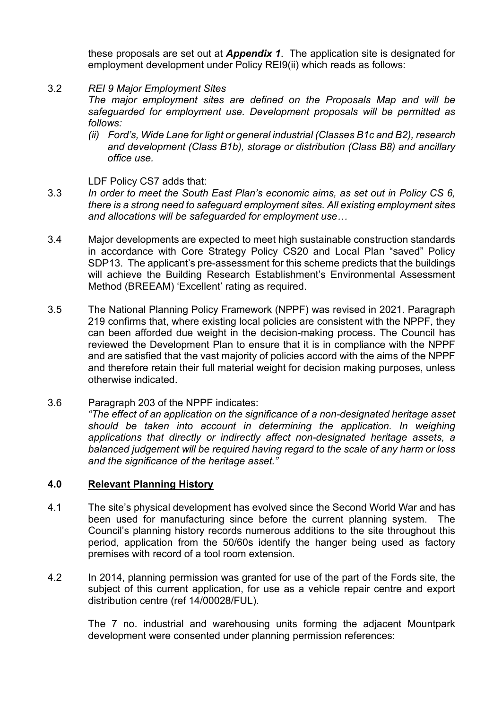these proposals are set out at *Appendix 1*. The application site is designated for employment development under Policy REI9(ii) which reads as follows:

3.2 *REI 9 Major Employment Sites*

> *The major employment sites are defined on the Proposals Map and will be safeguarded for employment use. Development proposals will be permitted as follows:*

> *(ii) Ford's, Wide Lane for light or general industrial (Classes B1c and B2), research and development (Class B1b), storage or distribution (Class B8) and ancillary office use.*

LDF Policy CS7 adds that:

- 3.3 *In order to meet the South East Plan's economic aims, as set out in Policy CS 6, there is a strong need to safeguard employment sites. All existing employment sites and allocations will be safeguarded for employment use…*
- 3.4 Major developments are expected to meet high sustainable construction standards in accordance with Core Strategy Policy CS20 and Local Plan "saved" Policy SDP13. The applicant's pre-assessment for this scheme predicts that the buildings will achieve the Building Research Establishment's Environmental Assessment Method (BREEAM) 'Excellent' rating as required.
- 3.5 The National Planning Policy Framework (NPPF) was revised in 2021. Paragraph 219 confirms that, where existing local policies are consistent with the NPPF, they can been afforded due weight in the decision-making process. The Council has reviewed the Development Plan to ensure that it is in compliance with the NPPF and are satisfied that the vast majority of policies accord with the aims of the NPPF and therefore retain their full material weight for decision making purposes, unless otherwise indicated.
- 3.6 Paragraph 203 of the NPPF indicates: *"The effect of an application on the significance of a non-designated heritage asset*  should be taken into account in determining the application. In weighing *applications that directly or indirectly affect non-designated heritage assets, a balanced judgement will be required having regard to the scale of any harm or loss and the significance of the heritage asset."*

## **4.0 Relevant Planning History**

- 4.1 The site's physical development has evolved since the Second World War and has been used for manufacturing since before the current planning system. The Council's planning history records numerous additions to the site throughout this period, application from the 50/60s identify the hanger being used as factory premises with record of a tool room extension.
- 4.2 In 2014, planning permission was granted for use of the part of the Fords site, the subject of this current application, for use as a vehicle repair centre and export distribution centre (ref 14/00028/FUL).

The 7 no. industrial and warehousing units forming the adjacent Mountpark development were consented under planning permission references: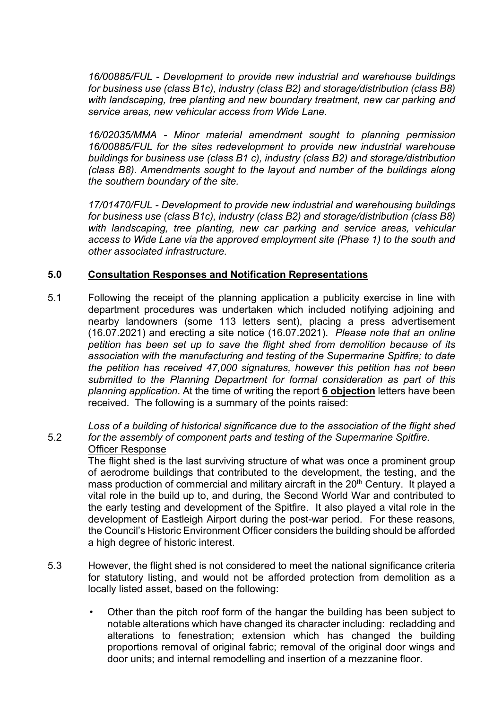*16/00885/FUL - Development to provide new industrial and warehouse buildings for business use (class B1c), industry (class B2) and storage/distribution (class B8) with landscaping, tree planting and new boundary treatment, new car parking and service areas, new vehicular access from Wide Lane.*

*16/02035/MMA - Minor material amendment sought to planning permission 16/00885/FUL for the sites redevelopment to provide new industrial warehouse buildings for business use (class B1 c), industry (class B2) and storage/distribution (class B8). Amendments sought to the layout and number of the buildings along the southern boundary of the site.*

*17/01470/FUL - Development to provide new industrial and warehousing buildings for business use (class B1c), industry (class B2) and storage/distribution (class B8)*  with landscaping, tree planting, new car parking and service areas, vehicular *access to Wide Lane via the approved employment site (Phase 1) to the south and other associated infrastructure.*

## **5.0 Consultation Responses and Notification Representations**

5.1 Following the receipt of the planning application a publicity exercise in line with department procedures was undertaken which included notifying adjoining and nearby landowners (some 113 letters sent), placing a press advertisement (16.07.2021) and erecting a site notice (16.07.2021). *Please note that an online petition has been set up to save the flight shed from demolition because of its association with the manufacturing and testing of the Supermarine Spitfire; to date the petition has received 47,000 signatures, however this petition has not been submitted to the Planning Department for formal consideration as part of this planning application*. At the time of writing the report **6 objection** letters have been received. The following is a summary of the points raised:

5.2 *Loss of a building of historical significance due to the association of the flight shed for the assembly of component parts and testing of the Supermarine Spitfire.*  Officer Response

The flight shed is the last surviving structure of what was once a prominent group of aerodrome buildings that contributed to the development, the testing, and the mass production of commercial and military aircraft in the 20<sup>th</sup> Century. It played a vital role in the build up to, and during, the Second World War and contributed to the early testing and development of the Spitfire. It also played a vital role in the development of Eastleigh Airport during the post-war period. For these reasons, the Council's Historic Environment Officer considers the building should be afforded a high degree of historic interest.

- 5.3 However, the flight shed is not considered to meet the national significance criteria for statutory listing, and would not be afforded protection from demolition as a locally listed asset, based on the following:
	- Other than the pitch roof form of the hangar the building has been subject to notable alterations which have changed its character including: recladding and alterations to fenestration; extension which has changed the building proportions removal of original fabric; removal of the original door wings and door units; and internal remodelling and insertion of a mezzanine floor.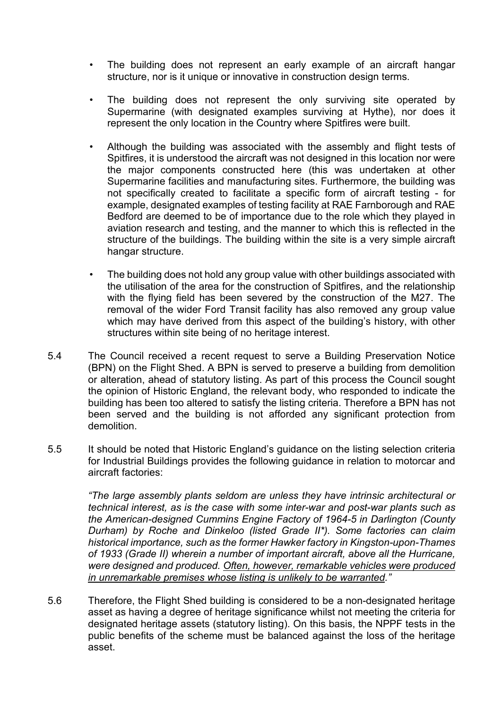- The building does not represent an early example of an aircraft hangar structure, nor is it unique or innovative in construction design terms.
- The building does not represent the only surviving site operated by Supermarine (with designated examples surviving at Hythe), nor does it represent the only location in the Country where Spitfires were built.
- Although the building was associated with the assembly and flight tests of Spitfires, it is understood the aircraft was not designed in this location nor were the major components constructed here (this was undertaken at other Supermarine facilities and manufacturing sites. Furthermore, the building was not specifically created to facilitate a specific form of aircraft testing - for example, designated examples of testing facility at RAE Farnborough and RAE Bedford are deemed to be of importance due to the role which they played in aviation research and testing, and the manner to which this is reflected in the structure of the buildings. The building within the site is a very simple aircraft hangar structure.
- The building does not hold any group value with other buildings associated with the utilisation of the area for the construction of Spitfires, and the relationship with the flying field has been severed by the construction of the M27. The removal of the wider Ford Transit facility has also removed any group value which may have derived from this aspect of the building's history, with other structures within site being of no heritage interest.
- 5.4 The Council received a recent request to serve a Building Preservation Notice (BPN) on the Flight Shed. A BPN is served to preserve a building from demolition or alteration, ahead of statutory listing. As part of this process the Council sought the opinion of Historic England, the relevant body, who responded to indicate the building has been too altered to satisfy the listing criteria. Therefore a BPN has not been served and the building is not afforded any significant protection from demolition.
- 5.5 It should be noted that Historic England's guidance on the listing selection criteria for Industrial Buildings provides the following guidance in relation to motorcar and aircraft factories:

*"The large assembly plants seldom are unless they have intrinsic architectural or technical interest, as is the case with some inter-war and post-war plants such as the American-designed Cummins Engine Factory of 1964-5 in Darlington (County Durham) by Roche and Dinkeloo (listed Grade II\*). Some factories can claim historical importance, such as the former Hawker factory in Kingston-upon-Thames of 1933 (Grade II) wherein a number of important aircraft, above all the Hurricane, were designed and produced. Often, however, remarkable vehicles were produced in unremarkable premises whose listing is unlikely to be warranted."*

5.6 Therefore, the Flight Shed building is considered to be a non-designated heritage asset as having a degree of heritage significance whilst not meeting the criteria for designated heritage assets (statutory listing). On this basis, the NPPF tests in the public benefits of the scheme must be balanced against the loss of the heritage asset.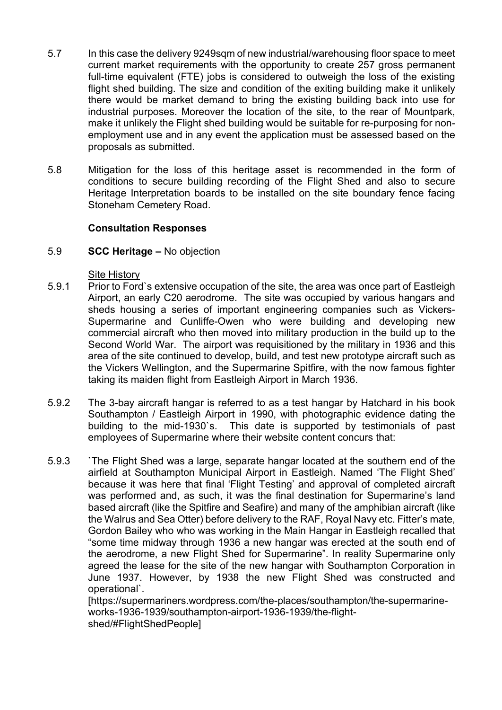- 5.7 In this case the delivery 9249sqm of new industrial/warehousing floor space to meet current market requirements with the opportunity to create 257 gross permanent full-time equivalent (FTE) jobs is considered to outweigh the loss of the existing flight shed building. The size and condition of the exiting building make it unlikely there would be market demand to bring the existing building back into use for industrial purposes. Moreover the location of the site, to the rear of Mountpark, make it unlikely the Flight shed building would be suitable for re-purposing for nonemployment use and in any event the application must be assessed based on the proposals as submitted.
- 5.8 Mitigation for the loss of this heritage asset is recommended in the form of conditions to secure building recording of the Flight Shed and also to secure Heritage Interpretation boards to be installed on the site boundary fence facing Stoneham Cemetery Road.

## **Consultation Responses**

#### 5.9 **SCC Heritage –** No objection

## Site History

- 5.9.1 Prior to Ford`s extensive occupation of the site, the area was once part of Eastleigh Airport, an early C20 aerodrome. The site was occupied by various hangars and sheds housing a series of important engineering companies such as Vickers-Supermarine and Cunliffe-Owen who were building and developing new commercial aircraft who then moved into military production in the build up to the Second World War. The airport was requisitioned by the military in 1936 and this area of the site continued to develop, build, and test new prototype aircraft such as the Vickers Wellington, and the Supermarine Spitfire, with the now famous fighter taking its maiden flight from Eastleigh Airport in March 1936.
- 5.9.2 The 3-bay aircraft hangar is referred to as a test hangar by Hatchard in his book Southampton / Eastleigh Airport in 1990, with photographic evidence dating the building to the mid-1930`s. This date is supported by testimonials of past employees of Supermarine where their website content concurs that:
- 5.9.3 `The Flight Shed was a large, separate hangar located at the southern end of the airfield at Southampton Municipal Airport in Eastleigh. Named 'The Flight Shed' because it was here that final 'Flight Testing' and approval of completed aircraft was performed and, as such, it was the final destination for Supermarine's land based aircraft (like the Spitfire and Seafire) and many of the amphibian aircraft (like the Walrus and Sea Otter) before delivery to the RAF, Royal Navy etc. Fitter's mate, Gordon Bailey who who was working in the Main Hangar in Eastleigh recalled that "some time midway through 1936 a new hangar was erected at the south end of the aerodrome, a new Flight Shed for Supermarine". In reality Supermarine only agreed the lease for the site of the new hangar with Southampton Corporation in June 1937. However, by 1938 the new Flight Shed was constructed and operational`.

[https://supermariners.wordpress.com/the-places/southampton/the-supermarineworks-1936-1939/southampton-airport-1936-1939/the-flightshed/#FlightShedPeople]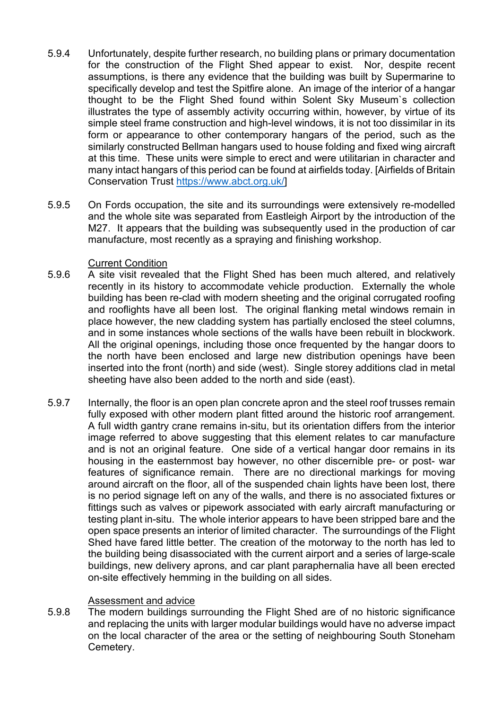- 5.9.4 Unfortunately, despite further research, no building plans or primary documentation for the construction of the Flight Shed appear to exist. Nor, despite recent assumptions, is there any evidence that the building was built by Supermarine to specifically develop and test the Spitfire alone. An image of the interior of a hangar thought to be the Flight Shed found within Solent Sky Museum`s collection illustrates the type of assembly activity occurring within, however, by virtue of its simple steel frame construction and high-level windows, it is not too dissimilar in its form or appearance to other contemporary hangars of the period, such as the similarly constructed Bellman hangars used to house folding and fixed wing aircraft at this time. These units were simple to erect and were utilitarian in character and many intact hangars of this period can be found at airfields today. [Airfields of Britain Conservation Trust [https://www.abct.org.uk/\]](https://www.abct.org.uk/)
- 5.9.5 On Fords occupation, the site and its surroundings were extensively re-modelled and the whole site was separated from Eastleigh Airport by the introduction of the M27. It appears that the building was subsequently used in the production of car manufacture, most recently as a spraying and finishing workshop.

## Current Condition

- 5.9.6 A site visit revealed that the Flight Shed has been much altered, and relatively recently in its history to accommodate vehicle production. Externally the whole building has been re-clad with modern sheeting and the original corrugated roofing and rooflights have all been lost. The original flanking metal windows remain in place however, the new cladding system has partially enclosed the steel columns, and in some instances whole sections of the walls have been rebuilt in blockwork. All the original openings, including those once frequented by the hangar doors to the north have been enclosed and large new distribution openings have been inserted into the front (north) and side (west). Single storey additions clad in metal sheeting have also been added to the north and side (east).
- 5.9.7 Internally, the floor is an open plan concrete apron and the steel roof trusses remain fully exposed with other modern plant fitted around the historic roof arrangement. A full width gantry crane remains in-situ, but its orientation differs from the interior image referred to above suggesting that this element relates to car manufacture and is not an original feature. One side of a vertical hangar door remains in its housing in the easternmost bay however, no other discernible pre- or post- war features of significance remain. There are no directional markings for moving around aircraft on the floor, all of the suspended chain lights have been lost, there is no period signage left on any of the walls, and there is no associated fixtures or fittings such as valves or pipework associated with early aircraft manufacturing or testing plant in-situ. The whole interior appears to have been stripped bare and the open space presents an interior of limited character. The surroundings of the Flight Shed have fared little better. The creation of the motorway to the north has led to the building being disassociated with the current airport and a series of large-scale buildings, new delivery aprons, and car plant paraphernalia have all been erected on-site effectively hemming in the building on all sides.

# Assessment and advice

5.9.8 The modern buildings surrounding the Flight Shed are of no historic significance and replacing the units with larger modular buildings would have no adverse impact on the local character of the area or the setting of neighbouring South Stoneham Cemetery.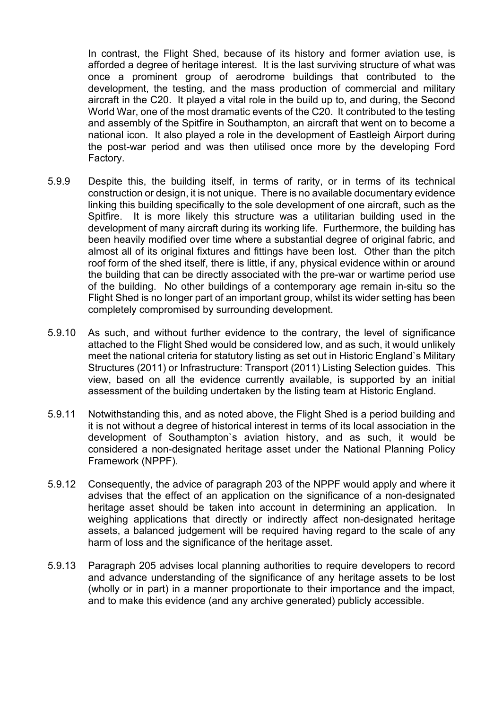In contrast, the Flight Shed, because of its history and former aviation use, is afforded a degree of heritage interest. It is the last surviving structure of what was once a prominent group of aerodrome buildings that contributed to the development, the testing, and the mass production of commercial and military aircraft in the C20. It played a vital role in the build up to, and during, the Second World War, one of the most dramatic events of the C20. It contributed to the testing and assembly of the Spitfire in Southampton, an aircraft that went on to become a national icon. It also played a role in the development of Eastleigh Airport during the post-war period and was then utilised once more by the developing Ford Factory.

- 5.9.9 Despite this, the building itself, in terms of rarity, or in terms of its technical construction or design, it is not unique. There is no available documentary evidence linking this building specifically to the sole development of one aircraft, such as the Spitfire. It is more likely this structure was a utilitarian building used in the development of many aircraft during its working life. Furthermore, the building has been heavily modified over time where a substantial degree of original fabric, and almost all of its original fixtures and fittings have been lost. Other than the pitch roof form of the shed itself, there is little, if any, physical evidence within or around the building that can be directly associated with the pre-war or wartime period use of the building. No other buildings of a contemporary age remain in-situ so the Flight Shed is no longer part of an important group, whilst its wider setting has been completely compromised by surrounding development.
- 5.9.10 As such, and without further evidence to the contrary, the level of significance attached to the Flight Shed would be considered low, and as such, it would unlikely meet the national criteria for statutory listing as set out in Historic England`s Military Structures (2011) or Infrastructure: Transport (2011) Listing Selection guides. This view, based on all the evidence currently available, is supported by an initial assessment of the building undertaken by the listing team at Historic England.
- 5.9.11 Notwithstanding this, and as noted above, the Flight Shed is a period building and it is not without a degree of historical interest in terms of its local association in the development of Southampton`s aviation history, and as such, it would be considered a non-designated heritage asset under the National Planning Policy Framework (NPPF).
- 5.9.12 Consequently, the advice of paragraph 203 of the NPPF would apply and where it advises that the effect of an application on the significance of a non-designated heritage asset should be taken into account in determining an application. In weighing applications that directly or indirectly affect non-designated heritage assets, a balanced judgement will be required having regard to the scale of any harm of loss and the significance of the heritage asset.
- 5.9.13 Paragraph 205 advises local planning authorities to require developers to record and advance understanding of the significance of any heritage assets to be lost (wholly or in part) in a manner proportionate to their importance and the impact, and to make this evidence (and any archive generated) publicly accessible.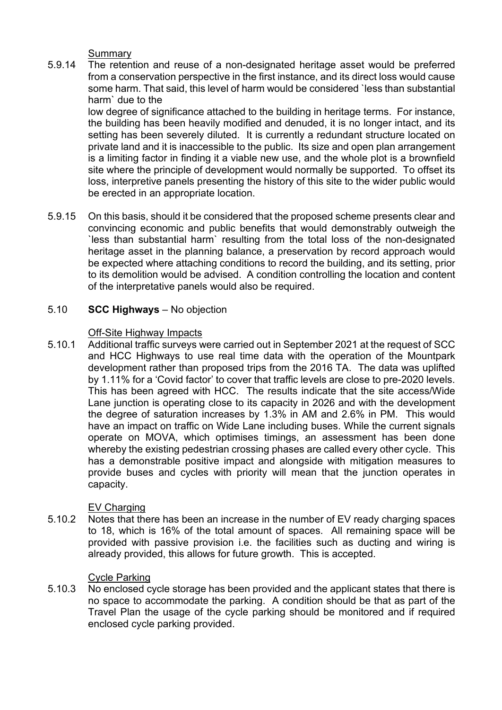Summary

5.9.14 The retention and reuse of a non-designated heritage asset would be preferred from a conservation perspective in the first instance, and its direct loss would cause some harm. That said, this level of harm would be considered `less than substantial harm` due to the

low degree of significance attached to the building in heritage terms. For instance, the building has been heavily modified and denuded, it is no longer intact, and its setting has been severely diluted. It is currently a redundant structure located on private land and it is inaccessible to the public. Its size and open plan arrangement is a limiting factor in finding it a viable new use, and the whole plot is a brownfield site where the principle of development would normally be supported. To offset its loss, interpretive panels presenting the history of this site to the wider public would be erected in an appropriate location.

5.9.15 On this basis, should it be considered that the proposed scheme presents clear and convincing economic and public benefits that would demonstrably outweigh the `less than substantial harm` resulting from the total loss of the non-designated heritage asset in the planning balance, a preservation by record approach would be expected where attaching conditions to record the building, and its setting, prior to its demolition would be advised. A condition controlling the location and content of the interpretative panels would also be required.

#### 5.10 **SCC Highways** – No objection

## Off-Site Highway Impacts

5.10.1 Additional traffic surveys were carried out in September 2021 at the request of SCC and HCC Highways to use real time data with the operation of the Mountpark development rather than proposed trips from the 2016 TA. The data was uplifted by 1.11% for a 'Covid factor' to cover that traffic levels are close to pre-2020 levels. This has been agreed with HCC. The results indicate that the site access/Wide Lane junction is operating close to its capacity in 2026 and with the development the degree of saturation increases by 1.3% in AM and 2.6% in PM. This would have an impact on traffic on Wide Lane including buses. While the current signals operate on MOVA, which optimises timings, an assessment has been done whereby the existing pedestrian crossing phases are called every other cycle. This has a demonstrable positive impact and alongside with mitigation measures to provide buses and cycles with priority will mean that the junction operates in capacity.

## EV Charging

5.10.2 Notes that there has been an increase in the number of EV ready charging spaces to 18, which is 16% of the total amount of spaces. All remaining space will be provided with passive provision i.e. the facilities such as ducting and wiring is already provided, this allows for future growth. This is accepted.

## Cycle Parking

5.10.3 No enclosed cycle storage has been provided and the applicant states that there is no space to accommodate the parking. A condition should be that as part of the Travel Plan the usage of the cycle parking should be monitored and if required enclosed cycle parking provided.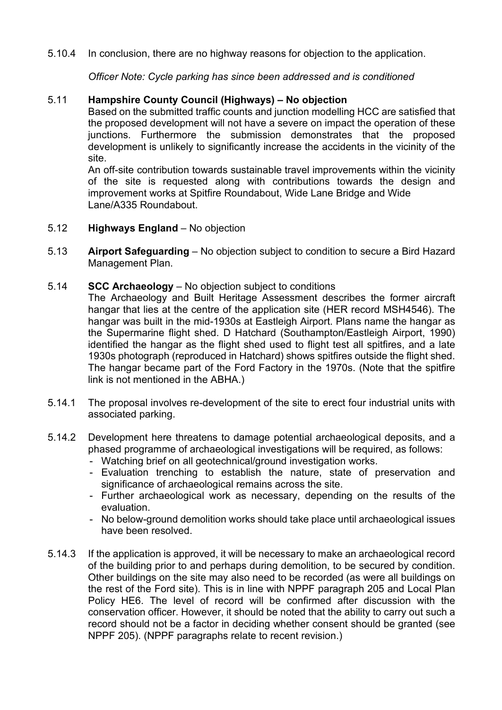5.10.4 In conclusion, there are no highway reasons for objection to the application.

*Officer Note: Cycle parking has since been addressed and is conditioned*

#### 5.11 **Hampshire County Council (Highways) – No objection**

Based on the submitted traffic counts and junction modelling HCC are satisfied that the proposed development will not have a severe on impact the operation of these junctions. Furthermore the submission demonstrates that the proposed development is unlikely to significantly increase the accidents in the vicinity of the site.

An off-site contribution towards sustainable travel improvements within the vicinity of the site is requested along with contributions towards the design and improvement works at Spitfire Roundabout, Wide Lane Bridge and Wide Lane/A335 Roundabout.

- 5.12 **Highways England** – No objection
- 5.13 **Airport Safeguarding** – No objection subject to condition to secure a Bird Hazard Management Plan.
- 5.14 **SCC Archaeology** – No objection subject to conditions

The Archaeology and Built Heritage Assessment describes the former aircraft hangar that lies at the centre of the application site (HER record MSH4546). The hangar was built in the mid-1930s at Eastleigh Airport. Plans name the hangar as the Supermarine flight shed. D Hatchard (Southampton/Eastleigh Airport, 1990) identified the hangar as the flight shed used to flight test all spitfires, and a late 1930s photograph (reproduced in Hatchard) shows spitfires outside the flight shed. The hangar became part of the Ford Factory in the 1970s. (Note that the spitfire link is not mentioned in the ABHA.)

- 5.14.1 The proposal involves re-development of the site to erect four industrial units with associated parking.
- 5.14.2 Development here threatens to damage potential archaeological deposits, and a phased programme of archaeological investigations will be required, as follows:
	- Watching brief on all geotechnical/ground investigation works.
	- Evaluation trenching to establish the nature, state of preservation and significance of archaeological remains across the site.
	- Further archaeological work as necessary, depending on the results of the evaluation.
	- No below-ground demolition works should take place until archaeological issues have been resolved.
- 5.14.3 If the application is approved, it will be necessary to make an archaeological record of the building prior to and perhaps during demolition, to be secured by condition. Other buildings on the site may also need to be recorded (as were all buildings on the rest of the Ford site). This is in line with NPPF paragraph 205 and Local Plan Policy HE6. The level of record will be confirmed after discussion with the conservation officer. However, it should be noted that the ability to carry out such a record should not be a factor in deciding whether consent should be granted (see NPPF 205). (NPPF paragraphs relate to recent revision.)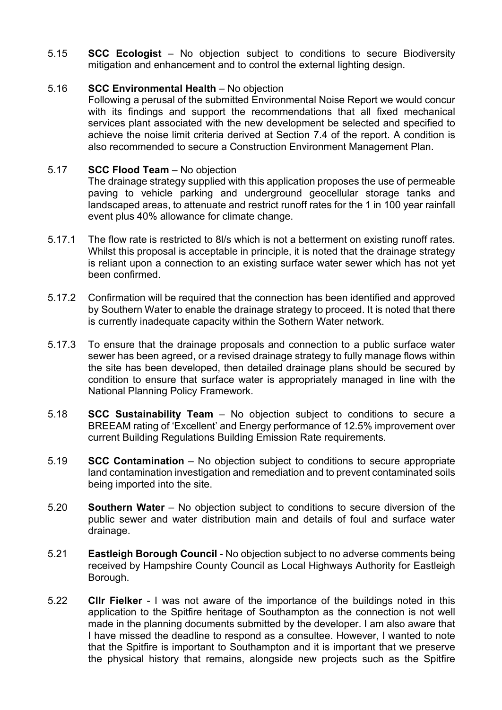5.15 **SCC Ecologist** – No objection subject to conditions to secure Biodiversity mitigation and enhancement and to control the external lighting design.

#### 5.16 **SCC Environmental Health** – No objection

Following a perusal of the submitted Environmental Noise Report we would concur with its findings and support the recommendations that all fixed mechanical services plant associated with the new development be selected and specified to achieve the noise limit criteria derived at Section 7.4 of the report. A condition is also recommended to secure a Construction Environment Management Plan.

#### 5.17 **SCC Flood Team** – No objection

The drainage strategy supplied with this application proposes the use of permeable paving to vehicle parking and underground geocellular storage tanks and landscaped areas, to attenuate and restrict runoff rates for the 1 in 100 year rainfall event plus 40% allowance for climate change.

- 5.17.1 The flow rate is restricted to 8l/s which is not a betterment on existing runoff rates. Whilst this proposal is acceptable in principle, it is noted that the drainage strategy is reliant upon a connection to an existing surface water sewer which has not yet been confirmed.
- 5.17.2 Confirmation will be required that the connection has been identified and approved by Southern Water to enable the drainage strategy to proceed. It is noted that there is currently inadequate capacity within the Sothern Water network.
- 5.17.3 To ensure that the drainage proposals and connection to a public surface water sewer has been agreed, or a revised drainage strategy to fully manage flows within the site has been developed, then detailed drainage plans should be secured by condition to ensure that surface water is appropriately managed in line with the National Planning Policy Framework.
- 5.18 **SCC Sustainability Team** – No objection subject to conditions to secure a BREEAM rating of 'Excellent' and Energy performance of 12.5% improvement over current Building Regulations Building Emission Rate requirements.
- 5.19 **SCC Contamination** – No objection subject to conditions to secure appropriate land contamination investigation and remediation and to prevent contaminated soils being imported into the site.
- 5.20 **Southern Water** – No objection subject to conditions to secure diversion of the public sewer and water distribution main and details of foul and surface water drainage.
- 5.21 **Eastleigh Borough Council** - No objection subject to no adverse comments being received by Hampshire County Council as Local Highways Authority for Eastleigh Borough.
- 5.22 **Cllr Fielker** - I was not aware of the importance of the buildings noted in this application to the Spitfire heritage of Southampton as the connection is not well made in the planning documents submitted by the developer. I am also aware that I have missed the deadline to respond as a consultee. However, I wanted to note that the Spitfire is important to Southampton and it is important that we preserve the physical history that remains, alongside new projects such as the Spitfire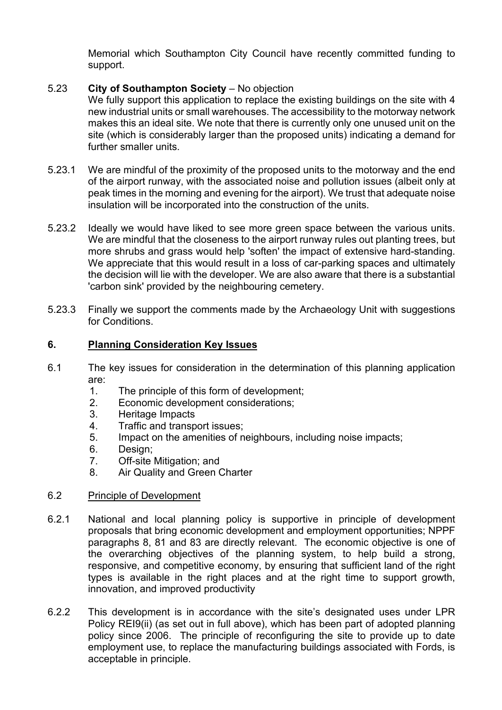Memorial which Southampton City Council have recently committed funding to support.

#### 5.23 **City of Southampton Society** – No objection

We fully support this application to replace the existing buildings on the site with 4 new industrial units or small warehouses. The accessibility to the motorway network makes this an ideal site. We note that there is currently only one unused unit on the site (which is considerably larger than the proposed units) indicating a demand for further smaller units.

- 5.23.1 We are mindful of the proximity of the proposed units to the motorway and the end of the airport runway, with the associated noise and pollution issues (albeit only at peak times in the morning and evening for the airport). We trust that adequate noise insulation will be incorporated into the construction of the units.
- 5.23.2 Ideally we would have liked to see more green space between the various units. We are mindful that the closeness to the airport runway rules out planting trees, but more shrubs and grass would help 'soften' the impact of extensive hard-standing. We appreciate that this would result in a loss of car-parking spaces and ultimately the decision will lie with the developer. We are also aware that there is a substantial 'carbon sink' provided by the neighbouring cemetery.
- 5.23.3 Finally we support the comments made by the Archaeology Unit with suggestions for Conditions.

## **6. Planning Consideration Key Issues**

- 6.1 The key issues for consideration in the determination of this planning application are:
	- 1. The principle of this form of development;
	- 2. Economic development considerations;
	- 3. Heritage Impacts
	- 4. Traffic and transport issues;
	- 5. Impact on the amenities of neighbours, including noise impacts;
	- 6. Design;
	- 7. Off-site Mitigation; and
	- 8. Air Quality and Green Charter

#### 6.2 Principle of Development

- 6.2.1 National and local planning policy is supportive in principle of development proposals that bring economic development and employment opportunities; NPPF paragraphs 8, 81 and 83 are directly relevant. The economic objective is one of the overarching objectives of the planning system, to help build a strong, responsive, and competitive economy, by ensuring that sufficient land of the right types is available in the right places and at the right time to support growth, innovation, and improved productivity
- 6.2.2 This development is in accordance with the site's designated uses under LPR Policy REI9(ii) (as set out in full above), which has been part of adopted planning policy since 2006. The principle of reconfiguring the site to provide up to date employment use, to replace the manufacturing buildings associated with Fords, is acceptable in principle.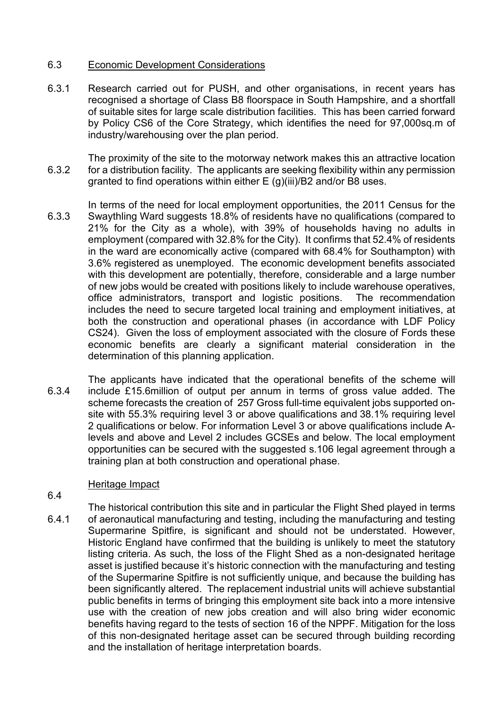#### 6.3 Economic Development Considerations

6.3.1 Research carried out for PUSH, and other organisations, in recent years has recognised a shortage of Class B8 floorspace in South Hampshire, and a shortfall of suitable sites for large scale distribution facilities. This has been carried forward by Policy CS6 of the Core Strategy, which identifies the need for 97,000sq.m of industry/warehousing over the plan period.

6.3.2 The proximity of the site to the motorway network makes this an attractive location for a distribution facility. The applicants are seeking flexibility within any permission granted to find operations within either E (g)(iii)/B2 and/or B8 uses.

- 6.3.3 In terms of the need for local employment opportunities, the 2011 Census for the Swaythling Ward suggests 18.8% of residents have no qualifications (compared to 21% for the City as a whole), with 39% of households having no adults in employment (compared with 32.8% for the City). It confirms that 52.4% of residents in the ward are economically active (compared with 68.4% for Southampton) with 3.6% registered as unemployed. The economic development benefits associated with this development are potentially, therefore, considerable and a large number of new jobs would be created with positions likely to include warehouse operatives, office administrators, transport and logistic positions. The recommendation includes the need to secure targeted local training and employment initiatives, at both the construction and operational phases (in accordance with LDF Policy CS24). Given the loss of employment associated with the closure of Fords these economic benefits are clearly a significant material consideration in the determination of this planning application.
- 6.3.4 The applicants have indicated that the operational benefits of the scheme will include £15.6million of output per annum in terms of gross value added. The scheme forecasts the creation of 257 Gross full-time equivalent jobs supported onsite with 55.3% requiring level 3 or above qualifications and 38.1% requiring level 2 qualifications or below. For information Level 3 or above qualifications include Alevels and above and Level 2 includes GCSEs and below. The local employment opportunities can be secured with the suggested s.106 legal agreement through a training plan at both construction and operational phase.

# Heritage Impact

6.4

6.4.1 The historical contribution this site and in particular the Flight Shed played in terms of aeronautical manufacturing and testing, including the manufacturing and testing Supermarine Spitfire, is significant and should not be understated. However, Historic England have confirmed that the building is unlikely to meet the statutory listing criteria. As such, the loss of the Flight Shed as a non-designated heritage asset is justified because it's historic connection with the manufacturing and testing of the Supermarine Spitfire is not sufficiently unique, and because the building has been significantly altered. The replacement industrial units will achieve substantial public benefits in terms of bringing this employment site back into a more intensive use with the creation of new jobs creation and will also bring wider economic benefits having regard to the tests of section 16 of the NPPF. Mitigation for the loss of this non-designated heritage asset can be secured through building recording and the installation of heritage interpretation boards.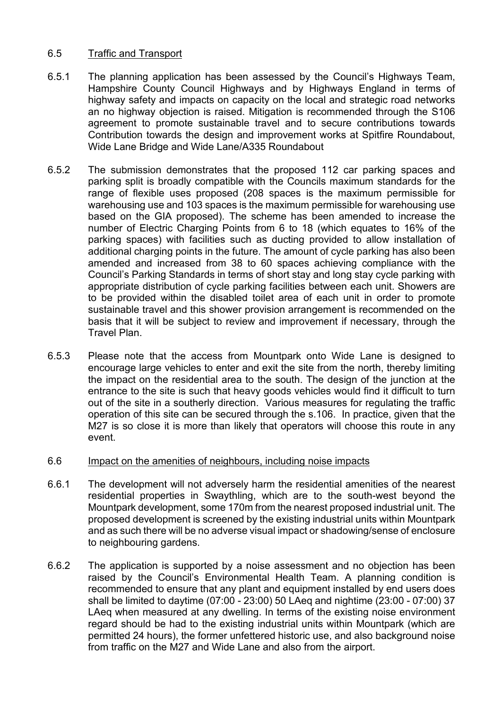#### 6.5 Traffic and Transport

- 6.5.1 The planning application has been assessed by the Council's Highways Team, Hampshire County Council Highways and by Highways England in terms of highway safety and impacts on capacity on the local and strategic road networks an no highway objection is raised. Mitigation is recommended through the S106 agreement to promote sustainable travel and to secure contributions towards Contribution towards the design and improvement works at Spitfire Roundabout, Wide Lane Bridge and Wide Lane/A335 Roundabout
- 6.5.2 The submission demonstrates that the proposed 112 car parking spaces and parking split is broadly compatible with the Councils maximum standards for the range of flexible uses proposed (208 spaces is the maximum permissible for warehousing use and 103 spaces is the maximum permissible for warehousing use based on the GIA proposed). The scheme has been amended to increase the number of Electric Charging Points from 6 to 18 (which equates to 16% of the parking spaces) with facilities such as ducting provided to allow installation of additional charging points in the future. The amount of cycle parking has also been amended and increased from 38 to 60 spaces achieving compliance with the Council's Parking Standards in terms of short stay and long stay cycle parking with appropriate distribution of cycle parking facilities between each unit. Showers are to be provided within the disabled toilet area of each unit in order to promote sustainable travel and this shower provision arrangement is recommended on the basis that it will be subject to review and improvement if necessary, through the Travel Plan.
- 6.5.3 Please note that the access from Mountpark onto Wide Lane is designed to encourage large vehicles to enter and exit the site from the north, thereby limiting the impact on the residential area to the south. The design of the junction at the entrance to the site is such that heavy goods vehicles would find it difficult to turn out of the site in a southerly direction. Various measures for regulating the traffic operation of this site can be secured through the s.106. In practice, given that the M27 is so close it is more than likely that operators will choose this route in any event.

#### 6.6 Impact on the amenities of neighbours, including noise impacts

- 6.6.1 The development will not adversely harm the residential amenities of the nearest residential properties in Swaythling, which are to the south-west beyond the Mountpark development, some 170m from the nearest proposed industrial unit. The proposed development is screened by the existing industrial units within Mountpark and as such there will be no adverse visual impact or shadowing/sense of enclosure to neighbouring gardens.
- 6.6.2 The application is supported by a noise assessment and no objection has been raised by the Council's Environmental Health Team. A planning condition is recommended to ensure that any plant and equipment installed by end users does shall be limited to daytime (07:00 - 23:00) 50 LAeq and nightime (23:00 - 07:00) 37 LAeq when measured at any dwelling. In terms of the existing noise environment regard should be had to the existing industrial units within Mountpark (which are permitted 24 hours), the former unfettered historic use, and also background noise from traffic on the M27 and Wide Lane and also from the airport.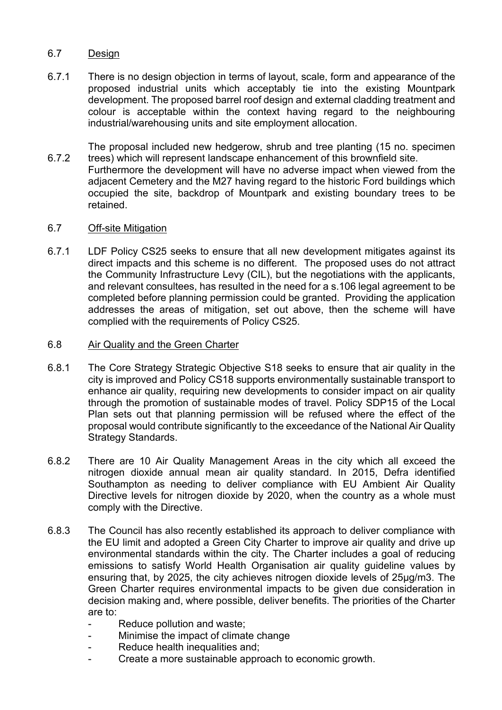#### 6.7 Design

6.7.1 There is no design objection in terms of layout, scale, form and appearance of the proposed industrial units which acceptably tie into the existing Mountpark development. The proposed barrel roof design and external cladding treatment and colour is acceptable within the context having regard to the neighbouring industrial/warehousing units and site employment allocation.

6.7.2 The proposal included new hedgerow, shrub and tree planting (15 no. specimen trees) which will represent landscape enhancement of this brownfield site.

Furthermore the development will have no adverse impact when viewed from the adjacent Cemetery and the M27 having regard to the historic Ford buildings which occupied the site, backdrop of Mountpark and existing boundary trees to be retained.

#### 6.7 Off-site Mitigation

6.7.1 LDF Policy CS25 seeks to ensure that all new development mitigates against its direct impacts and this scheme is no different. The proposed uses do not attract the Community Infrastructure Levy (CIL), but the negotiations with the applicants, and relevant consultees, has resulted in the need for a s.106 legal agreement to be completed before planning permission could be granted. Providing the application addresses the areas of mitigation, set out above, then the scheme will have complied with the requirements of Policy CS25.

#### 6.8 Air Quality and the Green Charter

- 6.8.1 The Core Strategy Strategic Objective S18 seeks to ensure that air quality in the city is improved and Policy CS18 supports environmentally sustainable transport to enhance air quality, requiring new developments to consider impact on air quality through the promotion of sustainable modes of travel. Policy SDP15 of the Local Plan sets out that planning permission will be refused where the effect of the proposal would contribute significantly to the exceedance of the National Air Quality Strategy Standards.
- 6.8.2 There are 10 Air Quality Management Areas in the city which all exceed the nitrogen dioxide annual mean air quality standard. In 2015, Defra identified Southampton as needing to deliver compliance with EU Ambient Air Quality Directive levels for nitrogen dioxide by 2020, when the country as a whole must comply with the Directive.
- 6.8.3 The Council has also recently established its approach to deliver compliance with the EU limit and adopted a Green City Charter to improve air quality and drive up environmental standards within the city. The Charter includes a goal of reducing emissions to satisfy World Health Organisation air quality guideline values by ensuring that, by 2025, the city achieves nitrogen dioxide levels of 25µg/m3. The Green Charter requires environmental impacts to be given due consideration in decision making and, where possible, deliver benefits. The priorities of the Charter are to:
	- Reduce pollution and waste;
	- Minimise the impact of climate change
	- Reduce health inequalities and;
	- Create a more sustainable approach to economic growth.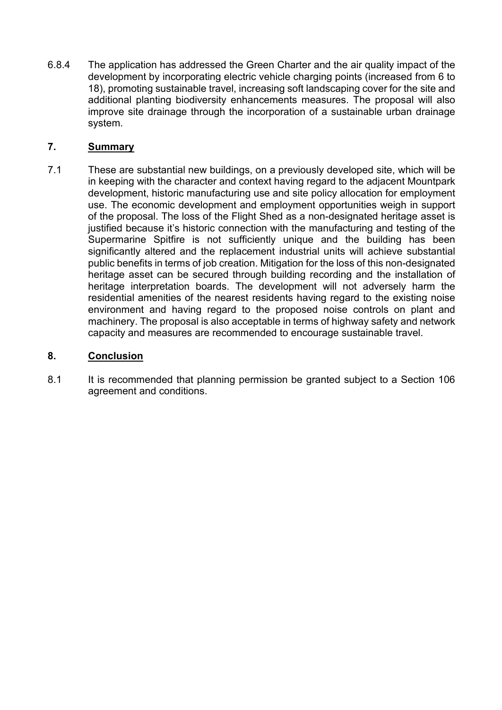6.8.4 The application has addressed the Green Charter and the air quality impact of the development by incorporating electric vehicle charging points (increased from 6 to 18), promoting sustainable travel, increasing soft landscaping cover for the site and additional planting biodiversity enhancements measures. The proposal will also improve site drainage through the incorporation of a sustainable urban drainage system.

## **7. Summary**

7.1 These are substantial new buildings, on a previously developed site, which will be in keeping with the character and context having regard to the adjacent Mountpark development, historic manufacturing use and site policy allocation for employment use. The economic development and employment opportunities weigh in support of the proposal. The loss of the Flight Shed as a non-designated heritage asset is justified because it's historic connection with the manufacturing and testing of the Supermarine Spitfire is not sufficiently unique and the building has been significantly altered and the replacement industrial units will achieve substantial public benefits in terms of job creation. Mitigation for the loss of this non-designated heritage asset can be secured through building recording and the installation of heritage interpretation boards. The development will not adversely harm the residential amenities of the nearest residents having regard to the existing noise environment and having regard to the proposed noise controls on plant and machinery. The proposal is also acceptable in terms of highway safety and network capacity and measures are recommended to encourage sustainable travel.

#### **8. Conclusion**

8.1 It is recommended that planning permission be granted subject to a Section 106 agreement and conditions.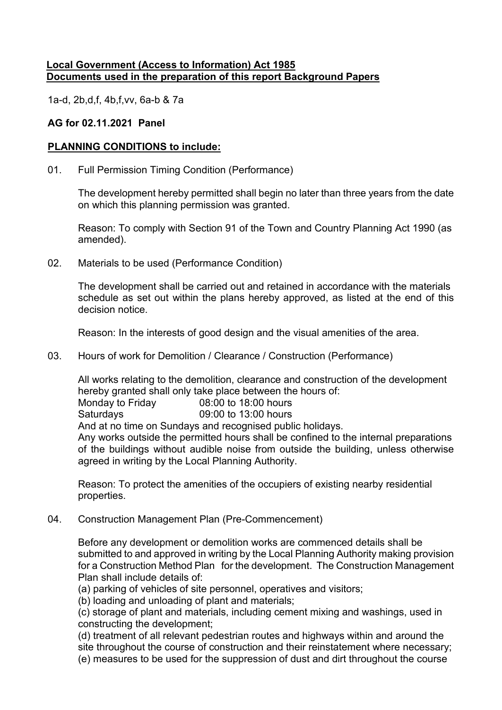## **Local Government (Access to Information) Act 1985 Documents used in the preparation of this report Background Papers**

1a-d, 2b,d,f, 4b,f,vv, 6a-b & 7a

## **AG for 02.11.2021 Panel**

## **PLANNING CONDITIONS to include:**

01. Full Permission Timing Condition (Performance)

The development hereby permitted shall begin no later than three years from the date on which this planning permission was granted.

Reason: To comply with Section 91 of the Town and Country Planning Act 1990 (as amended).

02. Materials to be used (Performance Condition)

The development shall be carried out and retained in accordance with the materials schedule as set out within the plans hereby approved, as listed at the end of this decision notice.

Reason: In the interests of good design and the visual amenities of the area.

03. Hours of work for Demolition / Clearance / Construction (Performance)

All works relating to the demolition, clearance and construction of the development hereby granted shall only take place between the hours of:

Monday to Friday 08:00 to 18:00 hours

Saturdays 09:00 to 13:00 hours

And at no time on Sundays and recognised public holidays.

Any works outside the permitted hours shall be confined to the internal preparations of the buildings without audible noise from outside the building, unless otherwise agreed in writing by the Local Planning Authority.

Reason: To protect the amenities of the occupiers of existing nearby residential properties.

04. Construction Management Plan (Pre-Commencement)

Before any development or demolition works are commenced details shall be submitted to and approved in writing by the Local Planning Authority making provision for a Construction Method Plan for the development. The Construction Management Plan shall include details of:

(a) parking of vehicles of site personnel, operatives and visitors;

(b) loading and unloading of plant and materials;

(c) storage of plant and materials, including cement mixing and washings, used in constructing the development;

(d) treatment of all relevant pedestrian routes and highways within and around the site throughout the course of construction and their reinstatement where necessary; (e) measures to be used for the suppression of dust and dirt throughout the course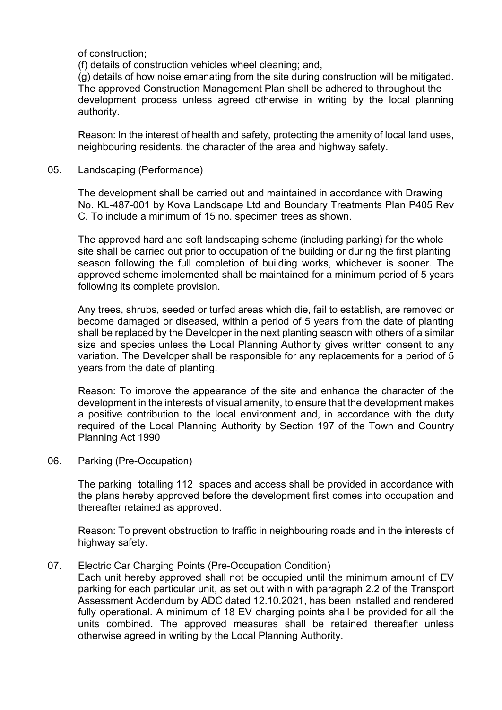of construction;

(f) details of construction vehicles wheel cleaning; and,

(g) details of how noise emanating from the site during construction will be mitigated. The approved Construction Management Plan shall be adhered to throughout the development process unless agreed otherwise in writing by the local planning authority.

Reason: In the interest of health and safety, protecting the amenity of local land uses, neighbouring residents, the character of the area and highway safety.

05. Landscaping (Performance)

The development shall be carried out and maintained in accordance with Drawing No. KL-487-001 by Kova Landscape Ltd and Boundary Treatments Plan P405 Rev C. To include a minimum of 15 no. specimen trees as shown.

The approved hard and soft landscaping scheme (including parking) for the whole site shall be carried out prior to occupation of the building or during the first planting season following the full completion of building works, whichever is sooner. The approved scheme implemented shall be maintained for a minimum period of 5 years following its complete provision.

Any trees, shrubs, seeded or turfed areas which die, fail to establish, are removed or become damaged or diseased, within a period of 5 years from the date of planting shall be replaced by the Developer in the next planting season with others of a similar size and species unless the Local Planning Authority gives written consent to any variation. The Developer shall be responsible for any replacements for a period of 5 years from the date of planting.

Reason: To improve the appearance of the site and enhance the character of the development in the interests of visual amenity, to ensure that the development makes a positive contribution to the local environment and, in accordance with the duty required of the Local Planning Authority by Section 197 of the Town and Country Planning Act 1990

06. Parking (Pre-Occupation)

The parking totalling 112 spaces and access shall be provided in accordance with the plans hereby approved before the development first comes into occupation and thereafter retained as approved.

Reason: To prevent obstruction to traffic in neighbouring roads and in the interests of highway safety.

07. Electric Car Charging Points (Pre-Occupation Condition)

Each unit hereby approved shall not be occupied until the minimum amount of EV parking for each particular unit, as set out within with paragraph 2.2 of the Transport Assessment Addendum by ADC dated 12.10.2021, has been installed and rendered fully operational. A minimum of 18 EV charging points shall be provided for all the units combined. The approved measures shall be retained thereafter unless otherwise agreed in writing by the Local Planning Authority.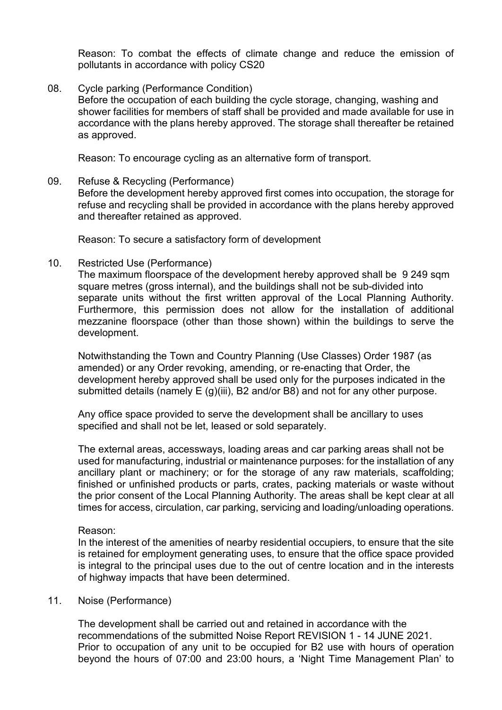Reason: To combat the effects of climate change and reduce the emission of pollutants in accordance with policy CS20

08. Cycle parking (Performance Condition)

Before the occupation of each building the cycle storage, changing, washing and shower facilities for members of staff shall be provided and made available for use in accordance with the plans hereby approved. The storage shall thereafter be retained as approved.

Reason: To encourage cycling as an alternative form of transport.

09. Refuse & Recycling (Performance)

Before the development hereby approved first comes into occupation, the storage for refuse and recycling shall be provided in accordance with the plans hereby approved and thereafter retained as approved.

Reason: To secure a satisfactory form of development

10. Restricted Use (Performance)

The maximum floorspace of the development hereby approved shall be 9 249 sqm square metres (gross internal), and the buildings shall not be sub-divided into separate units without the first written approval of the Local Planning Authority. Furthermore, this permission does not allow for the installation of additional mezzanine floorspace (other than those shown) within the buildings to serve the development.

Notwithstanding the Town and Country Planning (Use Classes) Order 1987 (as amended) or any Order revoking, amending, or re-enacting that Order, the development hereby approved shall be used only for the purposes indicated in the submitted details (namely E (g)(iii), B2 and/or B8) and not for any other purpose.

Any office space provided to serve the development shall be ancillary to uses specified and shall not be let, leased or sold separately.

The external areas, accessways, loading areas and car parking areas shall not be used for manufacturing, industrial or maintenance purposes: for the installation of any ancillary plant or machinery; or for the storage of any raw materials, scaffolding; finished or unfinished products or parts, crates, packing materials or waste without the prior consent of the Local Planning Authority. The areas shall be kept clear at all times for access, circulation, car parking, servicing and loading/unloading operations.

Reason:

In the interest of the amenities of nearby residential occupiers, to ensure that the site is retained for employment generating uses, to ensure that the office space provided is integral to the principal uses due to the out of centre location and in the interests of highway impacts that have been determined.

## 11. Noise (Performance)

The development shall be carried out and retained in accordance with the recommendations of the submitted Noise Report REVISION 1 - 14 JUNE 2021. Prior to occupation of any unit to be occupied for B2 use with hours of operation beyond the hours of 07:00 and 23:00 hours, a 'Night Time Management Plan' to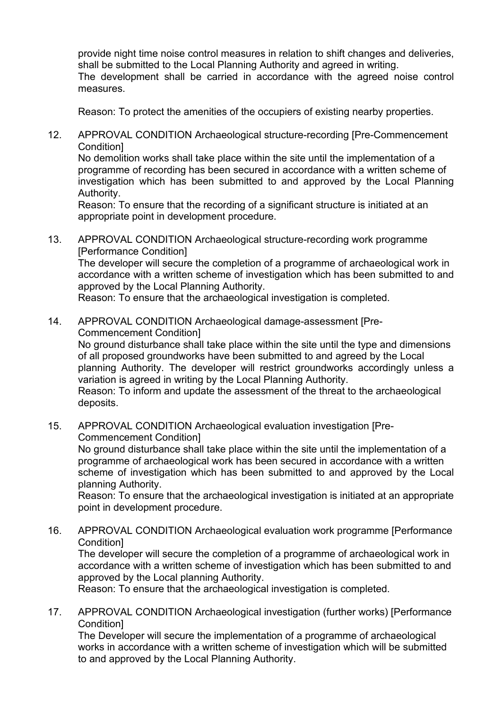provide night time noise control measures in relation to shift changes and deliveries, shall be submitted to the Local Planning Authority and agreed in writing. The development shall be carried in accordance with the agreed noise control measures.

Reason: To protect the amenities of the occupiers of existing nearby properties.

12. APPROVAL CONDITION Archaeological structure-recording [Pre-Commencement Condition]

No demolition works shall take place within the site until the implementation of a programme of recording has been secured in accordance with a written scheme of investigation which has been submitted to and approved by the Local Planning Authority.

Reason: To ensure that the recording of a significant structure is initiated at an appropriate point in development procedure.

13. APPROVAL CONDITION Archaeological structure-recording work programme [Performance Condition] The developer will secure the completion of a programme of archaeological work in accordance with a written scheme of investigation which has been submitted to and approved by the Local Planning Authority. Reason: To ensure that the archaeological investigation is completed.

14. APPROVAL CONDITION Archaeological damage-assessment [Pre-Commencement Condition]

No ground disturbance shall take place within the site until the type and dimensions of all proposed groundworks have been submitted to and agreed by the Local planning Authority. The developer will restrict groundworks accordingly unless a variation is agreed in writing by the Local Planning Authority.

Reason: To inform and update the assessment of the threat to the archaeological deposits.

15. APPROVAL CONDITION Archaeological evaluation investigation [Pre-Commencement Condition]

No ground disturbance shall take place within the site until the implementation of a programme of archaeological work has been secured in accordance with a written scheme of investigation which has been submitted to and approved by the Local planning Authority.

Reason: To ensure that the archaeological investigation is initiated at an appropriate point in development procedure.

16. APPROVAL CONDITION Archaeological evaluation work programme [Performance Condition]

The developer will secure the completion of a programme of archaeological work in accordance with a written scheme of investigation which has been submitted to and approved by the Local planning Authority.

Reason: To ensure that the archaeological investigation is completed.

17. APPROVAL CONDITION Archaeological investigation (further works) [Performance **Condition1** 

The Developer will secure the implementation of a programme of archaeological works in accordance with a written scheme of investigation which will be submitted to and approved by the Local Planning Authority.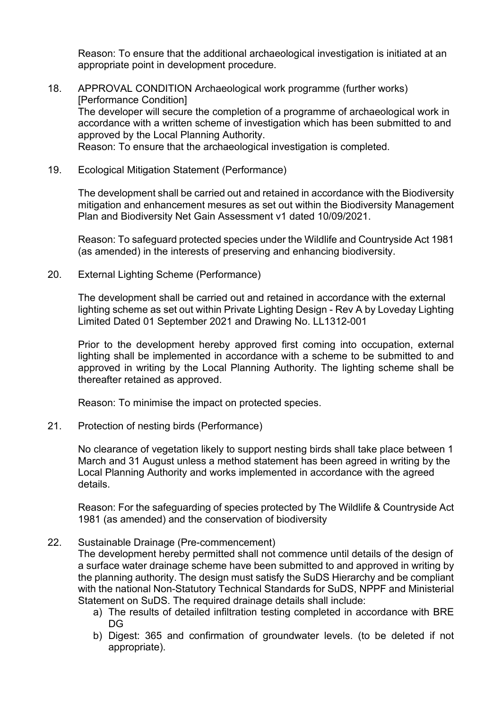Reason: To ensure that the additional archaeological investigation is initiated at an appropriate point in development procedure.

- 18. APPROVAL CONDITION Archaeological work programme (further works) [Performance Condition] The developer will secure the completion of a programme of archaeological work in accordance with a written scheme of investigation which has been submitted to and approved by the Local Planning Authority. Reason: To ensure that the archaeological investigation is completed.
- 19. Ecological Mitigation Statement (Performance)

The development shall be carried out and retained in accordance with the Biodiversity mitigation and enhancement mesures as set out within the Biodiversity Management Plan and Biodiversity Net Gain Assessment v1 dated 10/09/2021.

Reason: To safeguard protected species under the Wildlife and Countryside Act 1981 (as amended) in the interests of preserving and enhancing biodiversity.

20. External Lighting Scheme (Performance)

The development shall be carried out and retained in accordance with the external lighting scheme as set out within Private Lighting Design - Rev A by Loveday Lighting Limited Dated 01 September 2021 and Drawing No. LL1312-001

Prior to the development hereby approved first coming into occupation, external lighting shall be implemented in accordance with a scheme to be submitted to and approved in writing by the Local Planning Authority. The lighting scheme shall be thereafter retained as approved.

Reason: To minimise the impact on protected species.

21. Protection of nesting birds (Performance)

No clearance of vegetation likely to support nesting birds shall take place between 1 March and 31 August unless a method statement has been agreed in writing by the Local Planning Authority and works implemented in accordance with the agreed details.

Reason: For the safeguarding of species protected by The Wildlife & Countryside Act 1981 (as amended) and the conservation of biodiversity

## 22. Sustainable Drainage (Pre-commencement)

The development hereby permitted shall not commence until details of the design of a surface water drainage scheme have been submitted to and approved in writing by the planning authority. The design must satisfy the SuDS Hierarchy and be compliant with the national Non-Statutory Technical Standards for SuDS, NPPF and Ministerial Statement on SuDS. The required drainage details shall include:

- a) The results of detailed infiltration testing completed in accordance with BRE DG
- b) Digest: 365 and confirmation of groundwater levels. (to be deleted if not appropriate).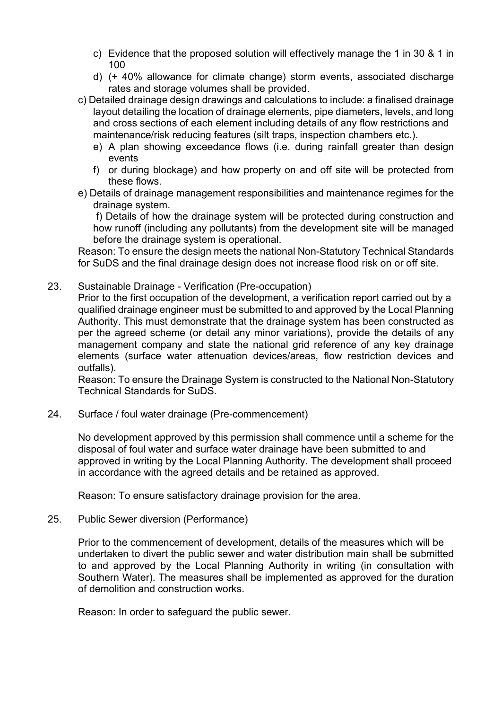- c) Evidence that the proposed solution will effectively manage the 1 in 30 & 1 in 100
- d) (+ 40% allowance for climate change) storm events, associated discharge rates and storage volumes shall be provided.
- c) Detailed drainage design drawings and calculations to include: a finalised drainage layout detailing the location of drainage elements, pipe diameters, levels, and long and cross sections of each element including details of any flow restrictions and maintenance/risk reducing features (silt traps, inspection chambers etc.).
	- e) A plan showing exceedance flows (i.e. during rainfall greater than design events
	- f) or during blockage) and how property on and off site will be protected from these flows.
- e) Details of drainage management responsibilities and maintenance regimes for the drainage system.

f) Details of how the drainage system will be protected during construction and how runoff (including any pollutants) from the development site will be managed before the drainage system is operational.

Reason: To ensure the design meets the national Non-Statutory Technical Standards for SuDS and the final drainage design does not increase flood risk on or off site.

23. Sustainable Drainage - Verification (Pre-occupation)

Prior to the first occupation of the development, a verification report carried out by a qualified drainage engineer must be submitted to and approved by the Local Planning Authority. This must demonstrate that the drainage system has been constructed as per the agreed scheme (or detail any minor variations), provide the details of any management company and state the national grid reference of any key drainage elements (surface water attenuation devices/areas, flow restriction devices and outfalls).

Reason: To ensure the Drainage System is constructed to the National Non-Statutory Technical Standards for SuDS.

24. Surface / foul water drainage (Pre-commencement)

No development approved by this permission shall commence until a scheme for the disposal of foul water and surface water drainage have been submitted to and approved in writing by the Local Planning Authority. The development shall proceed in accordance with the agreed details and be retained as approved.

Reason: To ensure satisfactory drainage provision for the area.

25. Public Sewer diversion (Performance)

Prior to the commencement of development, details of the measures which will be undertaken to divert the public sewer and water distribution main shall be submitted to and approved by the Local Planning Authority in writing (in consultation with Southern Water). The measures shall be implemented as approved for the duration of demolition and construction works.

Reason: In order to safeguard the public sewer.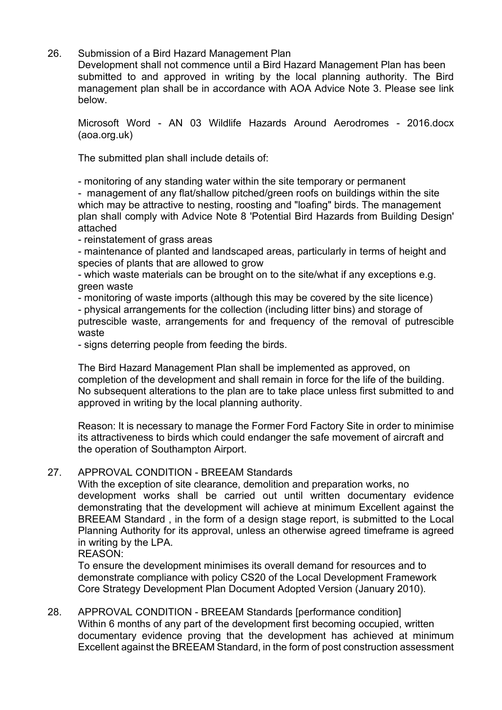26. Submission of a Bird Hazard Management Plan

Development shall not commence until a Bird Hazard Management Plan has been submitted to and approved in writing by the local planning authority. The Bird management plan shall be in accordance with AOA Advice Note 3. Please see link below.

Microsoft Word - AN 03 Wildlife Hazards Around Aerodromes - 2016.docx (aoa.org.uk)

The submitted plan shall include details of:

- monitoring of any standing water within the site temporary or permanent

- management of any flat/shallow pitched/green roofs on buildings within the site which may be attractive to nesting, roosting and "loafing" birds. The management plan shall comply with Advice Note 8 'Potential Bird Hazards from Building Design' attached

- reinstatement of grass areas

- maintenance of planted and landscaped areas, particularly in terms of height and species of plants that are allowed to grow

- which waste materials can be brought on to the site/what if any exceptions e.g. green waste

- monitoring of waste imports (although this may be covered by the site licence)

- physical arrangements for the collection (including litter bins) and storage of

putrescible waste, arrangements for and frequency of the removal of putrescible waste

- signs deterring people from feeding the birds.

The Bird Hazard Management Plan shall be implemented as approved, on completion of the development and shall remain in force for the life of the building. No subsequent alterations to the plan are to take place unless first submitted to and approved in writing by the local planning authority.

Reason: It is necessary to manage the Former Ford Factory Site in order to minimise its attractiveness to birds which could endanger the safe movement of aircraft and the operation of Southampton Airport.

# 27. APPROVAL CONDITION - BREEAM Standards

With the exception of site clearance, demolition and preparation works, no development works shall be carried out until written documentary evidence demonstrating that the development will achieve at minimum Excellent against the BREEAM Standard , in the form of a design stage report, is submitted to the Local Planning Authority for its approval, unless an otherwise agreed timeframe is agreed in writing by the LPA.

REASON:

To ensure the development minimises its overall demand for resources and to demonstrate compliance with policy CS20 of the Local Development Framework Core Strategy Development Plan Document Adopted Version (January 2010).

28. APPROVAL CONDITION - BREEAM Standards [performance condition] Within 6 months of any part of the development first becoming occupied, written documentary evidence proving that the development has achieved at minimum Excellent against the BREEAM Standard, in the form of post construction assessment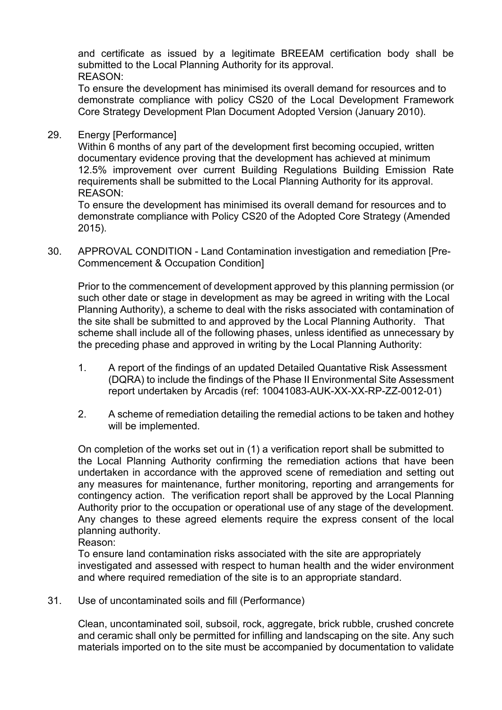and certificate as issued by a legitimate BREEAM certification body shall be submitted to the Local Planning Authority for its approval. REASON:

To ensure the development has minimised its overall demand for resources and to demonstrate compliance with policy CS20 of the Local Development Framework Core Strategy Development Plan Document Adopted Version (January 2010).

29. Energy [Performance]

Within 6 months of any part of the development first becoming occupied, written documentary evidence proving that the development has achieved at minimum 12.5% improvement over current Building Regulations Building Emission Rate requirements shall be submitted to the Local Planning Authority for its approval. REASON:

To ensure the development has minimised its overall demand for resources and to demonstrate compliance with Policy CS20 of the Adopted Core Strategy (Amended 2015).

30. APPROVAL CONDITION - Land Contamination investigation and remediation [Pre-Commencement & Occupation Condition]

Prior to the commencement of development approved by this planning permission (or such other date or stage in development as may be agreed in writing with the Local Planning Authority), a scheme to deal with the risks associated with contamination of the site shall be submitted to and approved by the Local Planning Authority. That scheme shall include all of the following phases, unless identified as unnecessary by the preceding phase and approved in writing by the Local Planning Authority:

- 1. A report of the findings of an updated Detailed Quantative Risk Assessment (DQRA) to include the findings of the Phase II Environmental Site Assessment report undertaken by Arcadis (ref: 10041083-AUK-XX-XX-RP-ZZ-0012-01)
- 2. A scheme of remediation detailing the remedial actions to be taken and hothey will be implemented.

On completion of the works set out in (1) a verification report shall be submitted to the Local Planning Authority confirming the remediation actions that have been undertaken in accordance with the approved scene of remediation and setting out any measures for maintenance, further monitoring, reporting and arrangements for contingency action. The verification report shall be approved by the Local Planning Authority prior to the occupation or operational use of any stage of the development. Any changes to these agreed elements require the express consent of the local planning authority.

Reason:

To ensure land contamination risks associated with the site are appropriately investigated and assessed with respect to human health and the wider environment and where required remediation of the site is to an appropriate standard.

31. Use of uncontaminated soils and fill (Performance)

Clean, uncontaminated soil, subsoil, rock, aggregate, brick rubble, crushed concrete and ceramic shall only be permitted for infilling and landscaping on the site. Any such materials imported on to the site must be accompanied by documentation to validate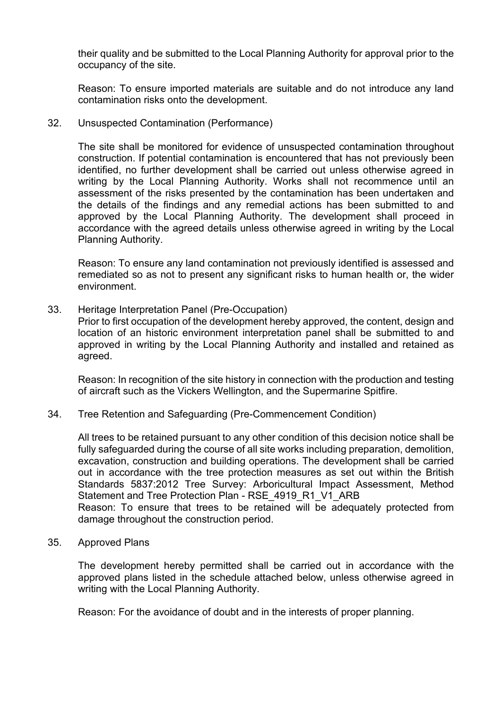their quality and be submitted to the Local Planning Authority for approval prior to the occupancy of the site.

Reason: To ensure imported materials are suitable and do not introduce any land contamination risks onto the development.

32. Unsuspected Contamination (Performance)

The site shall be monitored for evidence of unsuspected contamination throughout construction. If potential contamination is encountered that has not previously been identified, no further development shall be carried out unless otherwise agreed in writing by the Local Planning Authority. Works shall not recommence until an assessment of the risks presented by the contamination has been undertaken and the details of the findings and any remedial actions has been submitted to and approved by the Local Planning Authority. The development shall proceed in accordance with the agreed details unless otherwise agreed in writing by the Local Planning Authority.

Reason: To ensure any land contamination not previously identified is assessed and remediated so as not to present any significant risks to human health or, the wider environment.

33. Heritage Interpretation Panel (Pre-Occupation)

Prior to first occupation of the development hereby approved, the content, design and location of an historic environment interpretation panel shall be submitted to and approved in writing by the Local Planning Authority and installed and retained as agreed.

Reason: In recognition of the site history in connection with the production and testing of aircraft such as the Vickers Wellington, and the Supermarine Spitfire.

34. Tree Retention and Safeguarding (Pre-Commencement Condition)

All trees to be retained pursuant to any other condition of this decision notice shall be fully safeguarded during the course of all site works including preparation, demolition, excavation, construction and building operations. The development shall be carried out in accordance with the tree protection measures as set out within the British Standards 5837:2012 Tree Survey: Arboricultural Impact Assessment, Method Statement and Tree Protection Plan - RSE 4919 R1 V1 ARB Reason: To ensure that trees to be retained will be adequately protected from damage throughout the construction period.

35. Approved Plans

The development hereby permitted shall be carried out in accordance with the approved plans listed in the schedule attached below, unless otherwise agreed in writing with the Local Planning Authority.

Reason: For the avoidance of doubt and in the interests of proper planning.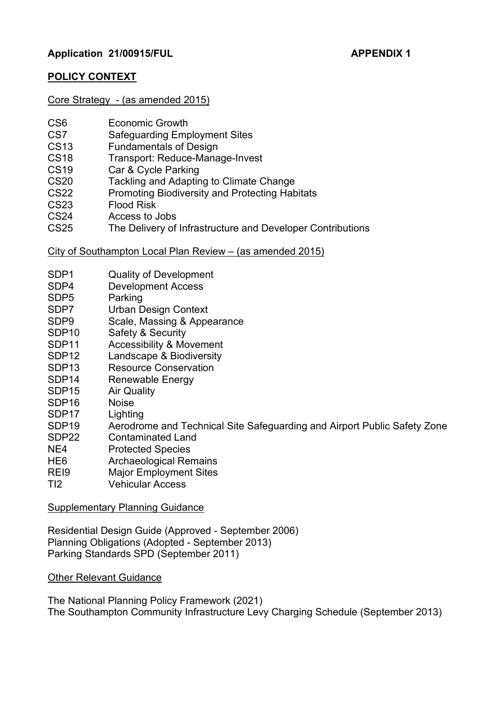# **POLICY CONTEXT**

## Core Strategy - (as amended 2015)

| CS <sub>6</sub> | <b>Economic Growth</b> |
|-----------------|------------------------|
|-----------------|------------------------|

- CS7 Safeguarding Employment Sites<br>CS13 Fundamentals of Design
- **Fundamentals of Design**
- CS18 Transport: Reduce-Manage-Invest
- CS19 Car & Cycle Parking
- CS20 Tackling and Adapting to Climate Change
- CS22 Promoting Biodiversity and Protecting Habitats
- CS23 Flood Risk
- CS24 Access to Jobs<br>CS25 The Delivery of
- The Delivery of Infrastructure and Developer Contributions

## City of Southampton Local Plan Review – (as amended 2015)

- SDP1 Quality of Development<br>SDP4 Development Access
- Development Access
- SDP5 Parking
- SDP7 Urban Design Context
- SDP9 Scale, Massing & Appearance
- SDP10 Safety & Security
- SDP11 Accessibility & Movement
- SDP12 Landscape & Biodiversity
- SDP13 Resource Conservation
- SDP14 Renewable Energy
- SDP15 Air Quality
- SDP16 Noise
- SDP17 Lighting
- SDP19 Aerodrome and Technical Site Safeguarding and Airport Public Safety Zone
- SDP22 Contaminated Land
- NE4 Protected Species
- HE6 Archaeological Remains
- REI9 Major Employment Sites
- TI2 Vehicular Access

## Supplementary Planning Guidance

Residential Design Guide (Approved - September 2006) Planning Obligations (Adopted - September 2013) Parking Standards SPD (September 2011)

## Other Relevant Guidance

The National Planning Policy Framework (2021) The Southampton Community Infrastructure Levy Charging Schedule (September 2013)